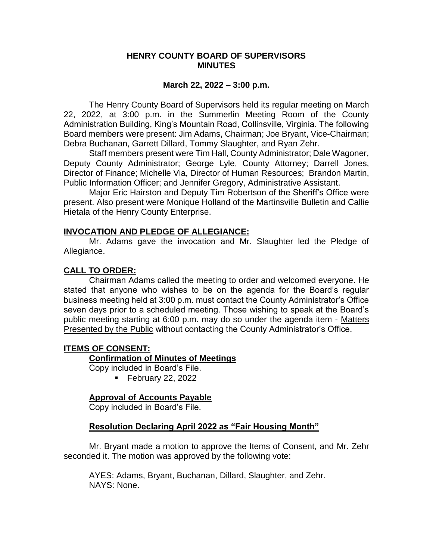#### **HENRY COUNTY BOARD OF SUPERVISORS MINUTES**

#### **March 22, 2022 – 3:00 p.m.**

The Henry County Board of Supervisors held its regular meeting on March 22, 2022, at 3:00 p.m. in the Summerlin Meeting Room of the County Administration Building, King's Mountain Road, Collinsville, Virginia. The following Board members were present: Jim Adams, Chairman; Joe Bryant, Vice-Chairman; Debra Buchanan, Garrett Dillard, Tommy Slaughter, and Ryan Zehr.

Staff members present were Tim Hall, County Administrator; Dale Wagoner, Deputy County Administrator; George Lyle, County Attorney; Darrell Jones, Director of Finance; Michelle Via, Director of Human Resources; Brandon Martin, Public Information Officer; and Jennifer Gregory, Administrative Assistant.

Major Eric Hairston and Deputy Tim Robertson of the Sheriff's Office were present. Also present were Monique Holland of the Martinsville Bulletin and Callie Hietala of the Henry County Enterprise.

#### **INVOCATION AND PLEDGE OF ALLEGIANCE:**

Mr. Adams gave the invocation and Mr. Slaughter led the Pledge of Allegiance.

#### **CALL TO ORDER:**

Chairman Adams called the meeting to order and welcomed everyone. He stated that anyone who wishes to be on the agenda for the Board's regular business meeting held at 3:00 p.m. must contact the County Administrator's Office seven days prior to a scheduled meeting. Those wishing to speak at the Board's public meeting starting at 6:00 p.m. may do so under the agenda item - Matters **Presented by the Public without contacting the County Administrator's Office.** 

#### **ITEMS OF CONSENT:**

#### **Confirmation of Minutes of Meetings**

Copy included in Board's File.

**February 22, 2022** 

#### **Approval of Accounts Payable**

Copy included in Board's File.

#### **Resolution Declaring April 2022 as "Fair Housing Month"**

Mr. Bryant made a motion to approve the Items of Consent, and Mr. Zehr seconded it. The motion was approved by the following vote: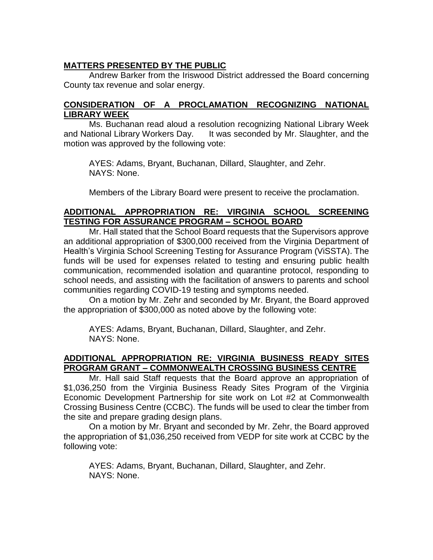# **MATTERS PRESENTED BY THE PUBLIC**

Andrew Barker from the Iriswood District addressed the Board concerning County tax revenue and solar energy.

## **CONSIDERATION OF A PROCLAMATION RECOGNIZING NATIONAL LIBRARY WEEK**

Ms. Buchanan read aloud a resolution recognizing National Library Week and National Library Workers Day. It was seconded by Mr. Slaughter, and the motion was approved by the following vote:

AYES: Adams, Bryant, Buchanan, Dillard, Slaughter, and Zehr. NAYS: None.

Members of the Library Board were present to receive the proclamation.

## **ADDITIONAL APPROPRIATION RE: VIRGINIA SCHOOL SCREENING TESTING FOR ASSURANCE PROGRAM – SCHOOL BOARD**

Mr. Hall stated that the School Board requests that the Supervisors approve an additional appropriation of \$300,000 received from the Virginia Department of Health's Virginia School Screening Testing for Assurance Program (ViSSTA). The funds will be used for expenses related to testing and ensuring public health communication, recommended isolation and quarantine protocol, responding to school needs, and assisting with the facilitation of answers to parents and school communities regarding COVID-19 testing and symptoms needed.

On a motion by Mr. Zehr and seconded by Mr. Bryant, the Board approved the appropriation of \$300,000 as noted above by the following vote:

AYES: Adams, Bryant, Buchanan, Dillard, Slaughter, and Zehr. NAYS: None.

## **ADDITIONAL APPROPRIATION RE: VIRGINIA BUSINESS READY SITES PROGRAM GRANT – COMMONWEALTH CROSSING BUSINESS CENTRE**

Mr. Hall said Staff requests that the Board approve an appropriation of \$1,036,250 from the Virginia Business Ready Sites Program of the Virginia Economic Development Partnership for site work on Lot #2 at Commonwealth Crossing Business Centre (CCBC). The funds will be used to clear the timber from the site and prepare grading design plans.

On a motion by Mr. Bryant and seconded by Mr. Zehr, the Board approved the appropriation of \$1,036,250 received from VEDP for site work at CCBC by the following vote: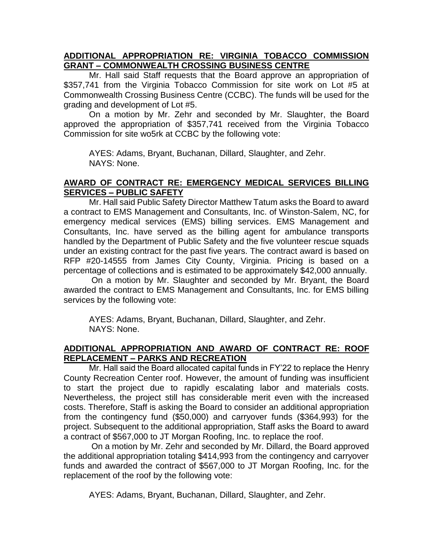### **ADDITIONAL APPROPRIATION RE: VIRGINIA TOBACCO COMMISSION GRANT – COMMONWEALTH CROSSING BUSINESS CENTRE**

Mr. Hall said Staff requests that the Board approve an appropriation of \$357,741 from the Virginia Tobacco Commission for site work on Lot #5 at Commonwealth Crossing Business Centre (CCBC). The funds will be used for the grading and development of Lot #5.

On a motion by Mr. Zehr and seconded by Mr. Slaughter, the Board approved the appropriation of \$357,741 received from the Virginia Tobacco Commission for site wo5rk at CCBC by the following vote:

AYES: Adams, Bryant, Buchanan, Dillard, Slaughter, and Zehr. NAYS: None.

### **AWARD OF CONTRACT RE: EMERGENCY MEDICAL SERVICES BILLING SERVICES – PUBLIC SAFETY**

Mr. Hall said Public Safety Director Matthew Tatum asks the Board to award a contract to EMS Management and Consultants, Inc. of Winston-Salem, NC, for emergency medical services (EMS) billing services. EMS Management and Consultants, Inc. have served as the billing agent for ambulance transports handled by the Department of Public Safety and the five volunteer rescue squads under an existing contract for the past five years. The contract award is based on RFP #20-14555 from James City County, Virginia. Pricing is based on a percentage of collections and is estimated to be approximately \$42,000 annually.

On a motion by Mr. Slaughter and seconded by Mr. Bryant, the Board awarded the contract to EMS Management and Consultants, Inc. for EMS billing services by the following vote:

AYES: Adams, Bryant, Buchanan, Dillard, Slaughter, and Zehr. NAYS: None.

## **ADDITIONAL APPROPRIATION AND AWARD OF CONTRACT RE: ROOF REPLACEMENT – PARKS AND RECREATION**

Mr. Hall said the Board allocated capital funds in FY'22 to replace the Henry County Recreation Center roof. However, the amount of funding was insufficient to start the project due to rapidly escalating labor and materials costs. Nevertheless, the project still has considerable merit even with the increased costs. Therefore, Staff is asking the Board to consider an additional appropriation from the contingency fund (\$50,000) and carryover funds (\$364,993) for the project. Subsequent to the additional appropriation, Staff asks the Board to award a contract of \$567,000 to JT Morgan Roofing, Inc. to replace the roof.

On a motion by Mr. Zehr and seconded by Mr. Dillard, the Board approved the additional appropriation totaling \$414,993 from the contingency and carryover funds and awarded the contract of \$567,000 to JT Morgan Roofing, Inc. for the replacement of the roof by the following vote: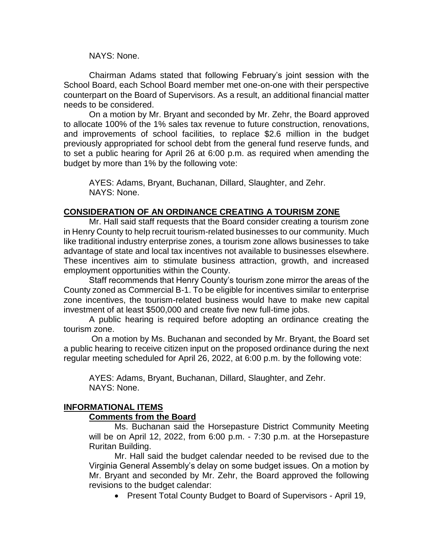NAYS: None.

Chairman Adams stated that following February's joint session with the School Board, each School Board member met one-on-one with their perspective counterpart on the Board of Supervisors. As a result, an additional financial matter needs to be considered.

On a motion by Mr. Bryant and seconded by Mr. Zehr, the Board approved to allocate 100% of the 1% sales tax revenue to future construction, renovations, and improvements of school facilities, to replace \$2.6 million in the budget previously appropriated for school debt from the general fund reserve funds, and to set a public hearing for April 26 at 6:00 p.m. as required when amending the budget by more than 1% by the following vote:

AYES: Adams, Bryant, Buchanan, Dillard, Slaughter, and Zehr. NAYS: None.

### **CONSIDERATION OF AN ORDINANCE CREATING A TOURISM ZONE**

Mr. Hall said staff requests that the Board consider creating a tourism zone in Henry County to help recruit tourism-related businesses to our community. Much like traditional industry enterprise zones, a tourism zone allows businesses to take advantage of state and local tax incentives not available to businesses elsewhere. These incentives aim to stimulate business attraction, growth, and increased employment opportunities within the County.

Staff recommends that Henry County's tourism zone mirror the areas of the County zoned as Commercial B-1. To be eligible for incentives similar to enterprise zone incentives, the tourism-related business would have to make new capital investment of at least \$500,000 and create five new full-time jobs.

A public hearing is required before adopting an ordinance creating the tourism zone.

On a motion by Ms. Buchanan and seconded by Mr. Bryant, the Board set a public hearing to receive citizen input on the proposed ordinance during the next regular meeting scheduled for April 26, 2022, at 6:00 p.m. by the following vote:

AYES: Adams, Bryant, Buchanan, Dillard, Slaughter, and Zehr. NAYS: None.

### **INFORMATIONAL ITEMS**

#### **Comments from the Board**

Ms. Buchanan said the Horsepasture District Community Meeting will be on April 12, 2022, from 6:00 p.m. - 7:30 p.m. at the Horsepasture Ruritan Building.

Mr. Hall said the budget calendar needed to be revised due to the Virginia General Assembly's delay on some budget issues. On a motion by Mr. Bryant and seconded by Mr. Zehr, the Board approved the following revisions to the budget calendar:

Present Total County Budget to Board of Supervisors - April 19,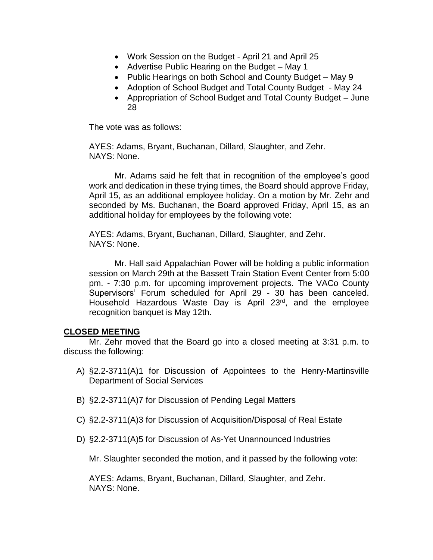- Work Session on the Budget April 21 and April 25
- Advertise Public Hearing on the Budget May 1
- Public Hearings on both School and County Budget May 9
- Adoption of School Budget and Total County Budget May 24
- Appropriation of School Budget and Total County Budget June 28

The vote was as follows:

AYES: Adams, Bryant, Buchanan, Dillard, Slaughter, and Zehr. NAYS: None.

Mr. Adams said he felt that in recognition of the employee's good work and dedication in these trying times, the Board should approve Friday, April 15, as an additional employee holiday. On a motion by Mr. Zehr and seconded by Ms. Buchanan, the Board approved Friday, April 15, as an additional holiday for employees by the following vote:

AYES: Adams, Bryant, Buchanan, Dillard, Slaughter, and Zehr. NAYS: None.

Mr. Hall said Appalachian Power will be holding a public information session on March 29th at the Bassett Train Station Event Center from 5:00 pm. - 7:30 p.m. for upcoming improvement projects. The VACo County Supervisors' Forum scheduled for April 29 - 30 has been canceled. Household Hazardous Waste Day is April 23rd, and the employee recognition banquet is May 12th.

#### **CLOSED MEETING**

Mr. Zehr moved that the Board go into a closed meeting at 3:31 p.m. to discuss the following:

- A) §2.2-3711(A)1 for Discussion of Appointees to the Henry-Martinsville Department of Social Services
- B) §2.2-3711(A)7 for Discussion of Pending Legal Matters
- C) §2.2-3711(A)3 for Discussion of Acquisition/Disposal of Real Estate
- D) §2.2-3711(A)5 for Discussion of As-Yet Unannounced Industries

Mr. Slaughter seconded the motion, and it passed by the following vote: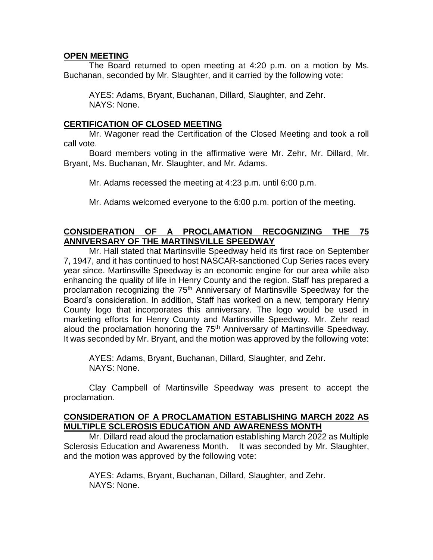### **OPEN MEETING**

The Board returned to open meeting at 4:20 p.m. on a motion by Ms. Buchanan, seconded by Mr. Slaughter, and it carried by the following vote:

AYES: Adams, Bryant, Buchanan, Dillard, Slaughter, and Zehr. NAYS: None.

### **CERTIFICATION OF CLOSED MEETING**

Mr. Wagoner read the Certification of the Closed Meeting and took a roll call vote.

Board members voting in the affirmative were Mr. Zehr, Mr. Dillard, Mr. Bryant, Ms. Buchanan, Mr. Slaughter, and Mr. Adams.

Mr. Adams recessed the meeting at 4:23 p.m. until 6:00 p.m.

Mr. Adams welcomed everyone to the 6:00 p.m. portion of the meeting.

### **CONSIDERATION OF A PROCLAMATION RECOGNIZING THE 75 ANNIVERSARY OF THE MARTINSVILLE SPEEDWAY**

Mr. Hall stated that Martinsville Speedway held its first race on September 7, 1947, and it has continued to host NASCAR-sanctioned Cup Series races every year since. Martinsville Speedway is an economic engine for our area while also enhancing the quality of life in Henry County and the region. Staff has prepared a proclamation recognizing the 75th Anniversary of Martinsville Speedway for the Board's consideration. In addition, Staff has worked on a new, temporary Henry County logo that incorporates this anniversary. The logo would be used in marketing efforts for Henry County and Martinsville Speedway. Mr. Zehr read aloud the proclamation honoring the 75<sup>th</sup> Anniversary of Martinsville Speedway. It was seconded by Mr. Bryant, and the motion was approved by the following vote:

AYES: Adams, Bryant, Buchanan, Dillard, Slaughter, and Zehr. NAYS: None.

Clay Campbell of Martinsville Speedway was present to accept the proclamation.

### **CONSIDERATION OF A PROCLAMATION ESTABLISHING MARCH 2022 AS MULTIPLE SCLEROSIS EDUCATION AND AWARENESS MONTH**

Mr. Dillard read aloud the proclamation establishing March 2022 as Multiple Sclerosis Education and Awareness Month. It was seconded by Mr. Slaughter, and the motion was approved by the following vote: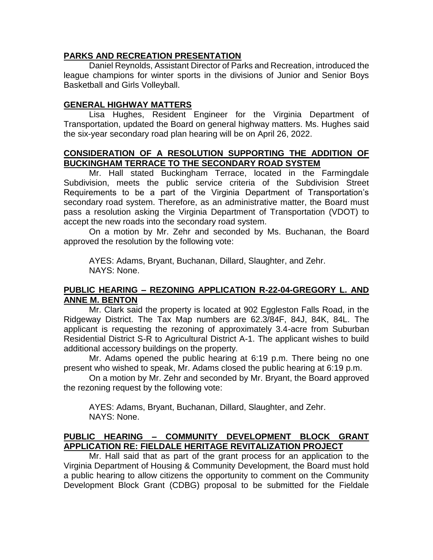### **PARKS AND RECREATION PRESENTATION**

Daniel Reynolds, Assistant Director of Parks and Recreation, introduced the league champions for winter sports in the divisions of Junior and Senior Boys Basketball and Girls Volleyball.

# **GENERAL HIGHWAY MATTERS**

Lisa Hughes, Resident Engineer for the Virginia Department of Transportation, updated the Board on general highway matters. Ms. Hughes said the six-year secondary road plan hearing will be on April 26, 2022.

### **CONSIDERATION OF A RESOLUTION SUPPORTING THE ADDITION OF BUCKINGHAM TERRACE TO THE SECONDARY ROAD SYSTEM**

Mr. Hall stated Buckingham Terrace, located in the Farmingdale Subdivision, meets the public service criteria of the Subdivision Street Requirements to be a part of the Virginia Department of Transportation's secondary road system. Therefore, as an administrative matter, the Board must pass a resolution asking the Virginia Department of Transportation (VDOT) to accept the new roads into the secondary road system.

On a motion by Mr. Zehr and seconded by Ms. Buchanan, the Board approved the resolution by the following vote:

AYES: Adams, Bryant, Buchanan, Dillard, Slaughter, and Zehr. NAYS: None.

### **PUBLIC HEARING – REZONING APPLICATION R-22-04-GREGORY L. AND ANNE M. BENTON**

Mr. Clark said the property is located at 902 Eggleston Falls Road, in the Ridgeway District. The Tax Map numbers are 62.3/84F, 84J, 84K, 84L. The applicant is requesting the rezoning of approximately 3.4-acre from Suburban Residential District S-R to Agricultural District A-1. The applicant wishes to build additional accessory buildings on the property.

Mr. Adams opened the public hearing at 6:19 p.m. There being no one present who wished to speak, Mr. Adams closed the public hearing at 6:19 p.m.

On a motion by Mr. Zehr and seconded by Mr. Bryant, the Board approved the rezoning request by the following vote:

AYES: Adams, Bryant, Buchanan, Dillard, Slaughter, and Zehr. NAYS: None.

# **PUBLIC HEARING – COMMUNITY DEVELOPMENT BLOCK GRANT APPLICATION RE: FIELDALE HERITAGE REVITALIZATION PROJECT**

Mr. Hall said that as part of the grant process for an application to the Virginia Department of Housing & Community Development, the Board must hold a public hearing to allow citizens the opportunity to comment on the Community Development Block Grant (CDBG) proposal to be submitted for the Fieldale